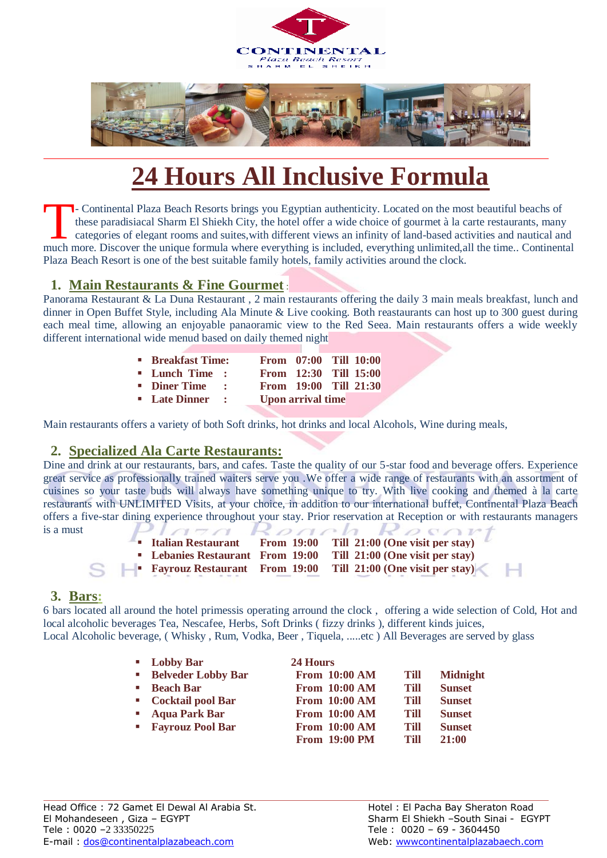



# **24 Hours All Inclusive Formula**

- Continental Plaza Beach Resorts brings you Egyptian authenticity. Located on the most beautiful beachs of these paradisiacal Sharm El Shiekh City, the hotel offer a wide choice of gourmet à la carte restaurants, many categories of elegant rooms and suites,with different views an infinity of land-based activities and nautical and The Continental Plaza Beach Resorts brings you Egyptian authenticity. Located on the most beautiful beachs of these paradisiacal Sharm El Shiekh City, the hotel offer a wide choice of gourmet à la carte restaurants, many c Plaza Beach Resort is one of the best suitable family hotels, family activities around the clock.

#### **1. Main Restaurants & Fine Gourmet** :

Panorama Restaurant & La Duna Restaurant , 2 main restaurants offering the daily 3 main meals breakfast, lunch and dinner in Open Buffet Style, including Ala Minute & Live cooking. Both reastaurants can host up to 300 guest during each meal time, allowing an enjoyable panaoramic view to the Red Seea. Main restaurants offers a wide weekly different international wide menud based on daily themed night

| <b>Breakfast Time:</b> |  | From 07:00 Till 10:00    |  |
|------------------------|--|--------------------------|--|
| " Lunch Time :         |  | From 12:30 Till 15:00    |  |
| ■ Diner Time :         |  | From 19:00 Till 21:30    |  |
| ■ Late Dinner :        |  | <b>Upon arrival time</b> |  |

Main restaurants offers a variety of both Soft drinks, hot drinks and local Alcohols, Wine during meals,

### **2. Specialized Ala Carte Restaurants:**

Dine and drink at our restaurants, bars, and cafes. Taste the quality of our 5-star food and beverage offers. Experience great service as professionally trained waiters serve you .We offer a wide range of restaurants with an assortment of cuisines so your taste buds will always have something unique to try. With live cooking and themed à la carte restaurants with UNLIMITED Visits, at your choice, in addition to our international buffet, Continental Plaza Beach offers a five-star dining experience throughout your stay. Prior reservation at Reception or with restaurants managers is a must

| ■ Italian Restaurant                          | <b>From 19:00</b> | Till 21:00 (One visit per stay) |
|-----------------------------------------------|-------------------|---------------------------------|
| • Lebanies Restaurant From 19:00              |                   | Till 21:00 (One visit per stay) |
| <b>EXECUTE:</b> Fayrouz Restaurant From 19:00 |                   | Till 21:00 (One visit per stay) |

### **3. Bars:**

6 bars located all around the hotel primessis operating arround the clock , offering a wide selection of Cold, Hot and local alcoholic beverages Tea, Nescafee, Herbs, Soft Drinks ( fizzy drinks ), different kinds juices, Local Alcoholic beverage, ( Whisky , Rum, Vodka, Beer , Tiquela, .....etc ) All Beverages are served by glass

| • Lobby Bar               | 24 Hours             |      |                 |  |
|---------------------------|----------------------|------|-----------------|--|
| <b>Belveder Lobby Bar</b> | From 10:00 AM        | Till | <b>Midnight</b> |  |
| ■ Beach Bar               | From 10:00 AM        | Till | <b>Sunset</b>   |  |
| • Cocktail pool Bar       | <b>From 10:00 AM</b> | Till | <b>Sunset</b>   |  |
| <b>Aqua Park Bar</b>      | From 10:00 AM        | Till | <b>Sunset</b>   |  |
| " Fayrouz Pool Bar        | From 10:00 AM        | Till | <b>Sunset</b>   |  |
|                           | <b>From 19:00 PM</b> | Till | 21:00           |  |